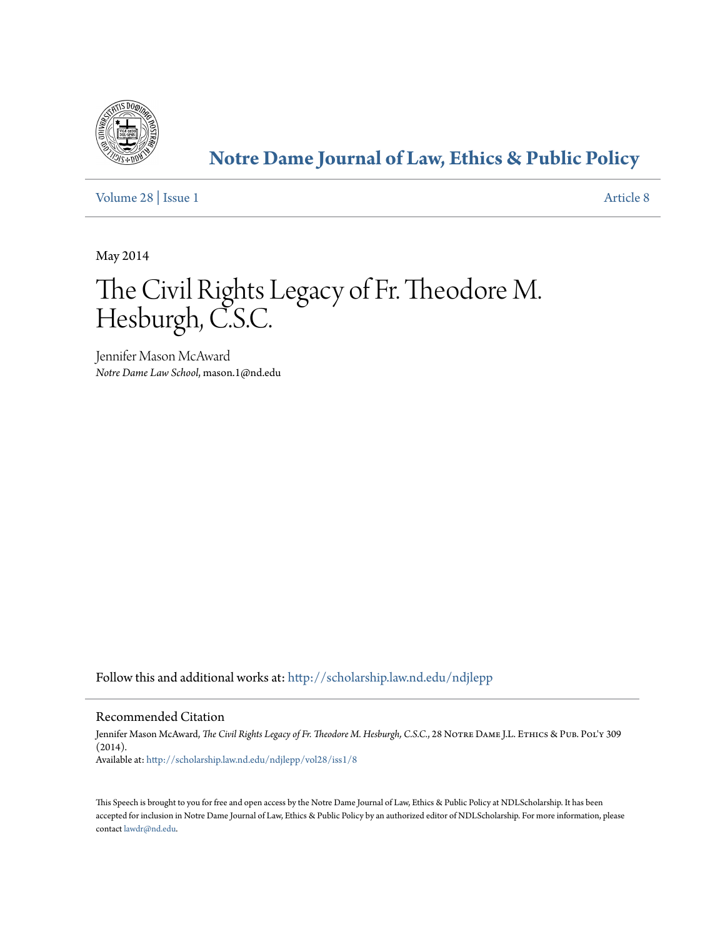

# **[Notre Dame Journal of Law, Ethics & Public Policy](http://scholarship.law.nd.edu/ndjlepp?utm_source=scholarship.law.nd.edu%2Fndjlepp%2Fvol28%2Fiss1%2F8&utm_medium=PDF&utm_campaign=PDFCoverPages)**

[Volume 28](http://scholarship.law.nd.edu/ndjlepp/vol28?utm_source=scholarship.law.nd.edu%2Fndjlepp%2Fvol28%2Fiss1%2F8&utm_medium=PDF&utm_campaign=PDFCoverPages) | [Issue 1](http://scholarship.law.nd.edu/ndjlepp/vol28/iss1?utm_source=scholarship.law.nd.edu%2Fndjlepp%2Fvol28%2Fiss1%2F8&utm_medium=PDF&utm_campaign=PDFCoverPages) [Article 8](http://scholarship.law.nd.edu/ndjlepp/vol28/iss1/8?utm_source=scholarship.law.nd.edu%2Fndjlepp%2Fvol28%2Fiss1%2F8&utm_medium=PDF&utm_campaign=PDFCoverPages)

May 2014

# The Civil Rights Legacy of Fr. Theodore M. Hesburgh, C.S.C.

Jennifer Mason McAward *Notre Dame Law School*, mason.1@nd.edu

Follow this and additional works at: [http://scholarship.law.nd.edu/ndjlepp](http://scholarship.law.nd.edu/ndjlepp?utm_source=scholarship.law.nd.edu%2Fndjlepp%2Fvol28%2Fiss1%2F8&utm_medium=PDF&utm_campaign=PDFCoverPages)

## Recommended Citation

Jennifer Mason McAward, *The Civil Rights Legacy of Fr. Theodore M. Hesburgh, C.S.C.*, 28 Notre Dame J.L. Ethics & Pub. Pol'y 309 (2014). Available at: [http://scholarship.law.nd.edu/ndjlepp/vol28/iss1/8](http://scholarship.law.nd.edu/ndjlepp/vol28/iss1/8?utm_source=scholarship.law.nd.edu%2Fndjlepp%2Fvol28%2Fiss1%2F8&utm_medium=PDF&utm_campaign=PDFCoverPages)

This Speech is brought to you for free and open access by the Notre Dame Journal of Law, Ethics & Public Policy at NDLScholarship. It has been accepted for inclusion in Notre Dame Journal of Law, Ethics & Public Policy by an authorized editor of NDLScholarship. For more information, please contact [lawdr@nd.edu.](mailto:lawdr@nd.edu)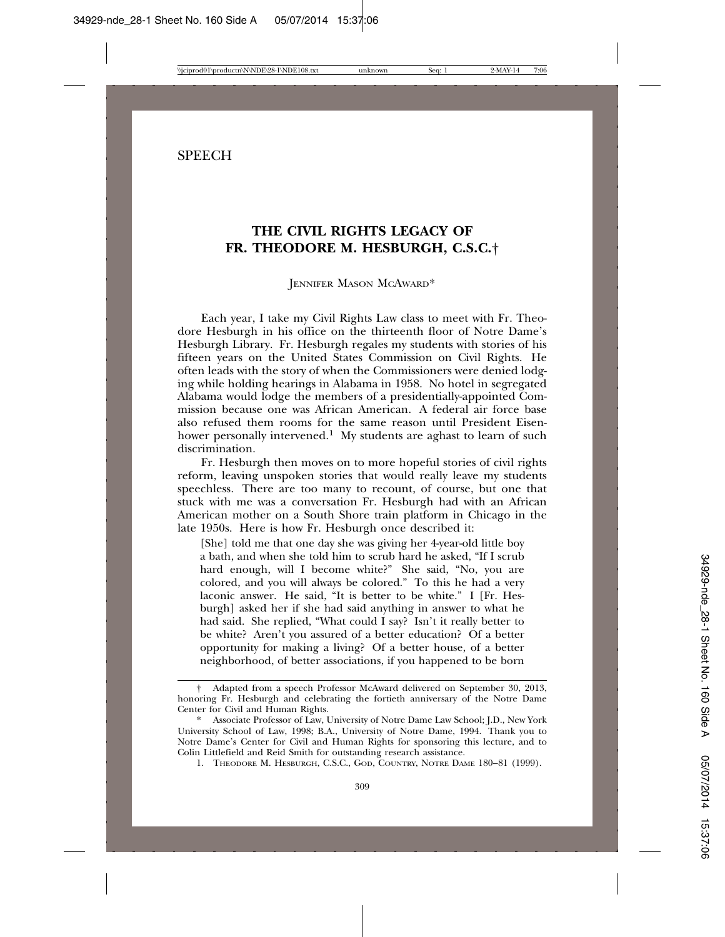### **SPEECH**

# **THE CIVIL RIGHTS LEGACY OF FR. THEODORE M. HESBURGH, C.S.C.**†

#### JENNIFER MASON MCAWARD\*

Each year, I take my Civil Rights Law class to meet with Fr. Theodore Hesburgh in his office on the thirteenth floor of Notre Dame's Hesburgh Library. Fr. Hesburgh regales my students with stories of his fifteen years on the United States Commission on Civil Rights. He often leads with the story of when the Commissioners were denied lodging while holding hearings in Alabama in 1958. No hotel in segregated Alabama would lodge the members of a presidentially-appointed Commission because one was African American. A federal air force base also refused them rooms for the same reason until President Eisenhower personally intervened.<sup>1</sup> My students are aghast to learn of such discrimination.

Fr. Hesburgh then moves on to more hopeful stories of civil rights reform, leaving unspoken stories that would really leave my students speechless. There are too many to recount, of course, but one that stuck with me was a conversation Fr. Hesburgh had with an African American mother on a South Shore train platform in Chicago in the late 1950s. Here is how Fr. Hesburgh once described it:

[She] told me that one day she was giving her 4-year-old little boy a bath, and when she told him to scrub hard he asked, "If I scrub hard enough, will I become white?" She said, "No, you are colored, and you will always be colored." To this he had a very laconic answer. He said, "It is better to be white." I [Fr. Hesburgh] asked her if she had said anything in answer to what he had said. She replied, "What could I say? Isn't it really better to be white? Aren't you assured of a better education? Of a better opportunity for making a living? Of a better house, of a better neighborhood, of better associations, if you happened to be born

<sup>†</sup> Adapted from a speech Professor McAward delivered on September 30, 2013, honoring Fr. Hesburgh and celebrating the fortieth anniversary of the Notre Dame Center for Civil and Human Rights.

<sup>\*</sup> Associate Professor of Law, University of Notre Dame Law School; J.D., New York University School of Law, 1998; B.A., University of Notre Dame, 1994. Thank you to Notre Dame's Center for Civil and Human Rights for sponsoring this lecture, and to Colin Littlefield and Reid Smith for outstanding research assistance.

<sup>1.</sup> THEODORE M. HESBURGH, C.S.C., GOD, COUNTRY, NOTRE DAME 180–81 (1999).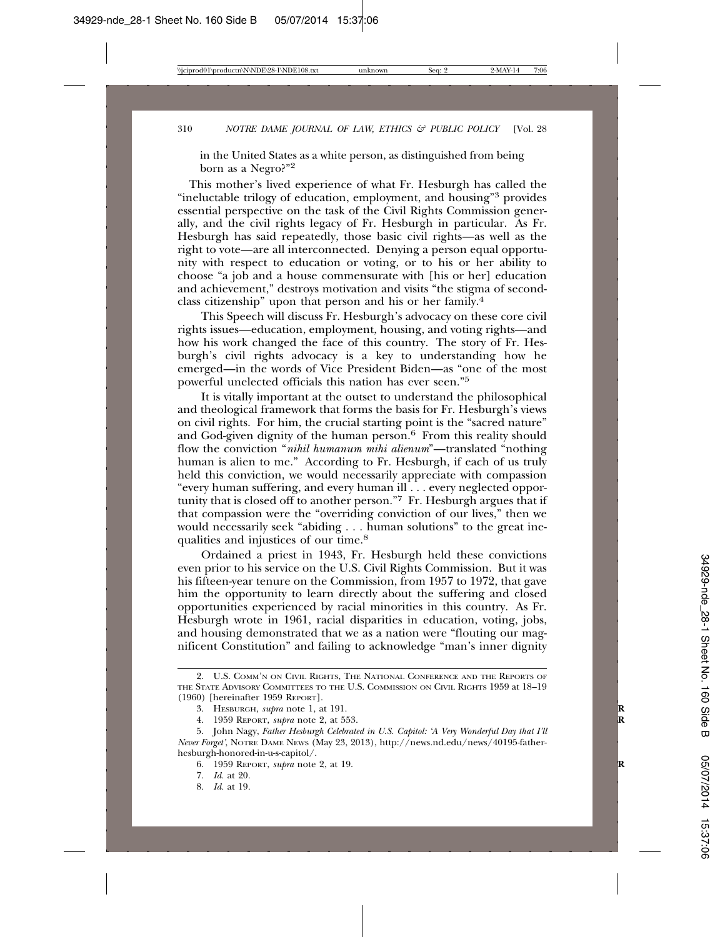in the United States as a white person, as distinguished from being born as a Negro?"<sup>2</sup>

 This mother's lived experience of what Fr. Hesburgh has called the "ineluctable trilogy of education, employment, and housing"3 provides essential perspective on the task of the Civil Rights Commission generally, and the civil rights legacy of Fr. Hesburgh in particular. As Fr. Hesburgh has said repeatedly, those basic civil rights—as well as the right to vote—are all interconnected. Denying a person equal opportunity with respect to education or voting, or to his or her ability to choose "a job and a house commensurate with [his or her] education and achievement," destroys motivation and visits "the stigma of secondclass citizenship" upon that person and his or her family.4

This Speech will discuss Fr. Hesburgh's advocacy on these core civil rights issues—education, employment, housing, and voting rights—and how his work changed the face of this country. The story of Fr. Hesburgh's civil rights advocacy is a key to understanding how he emerged—in the words of Vice President Biden—as "one of the most powerful unelected officials this nation has ever seen."5

It is vitally important at the outset to understand the philosophical and theological framework that forms the basis for Fr. Hesburgh's views on civil rights. For him, the crucial starting point is the "sacred nature" and God-given dignity of the human person.6 From this reality should flow the conviction "*nihil humanum mihi alienum*"—translated "nothing human is alien to me." According to Fr. Hesburgh, if each of us truly held this conviction, we would necessarily appreciate with compassion "every human suffering, and every human ill . . . every neglected opportunity that is closed off to another person."7 Fr. Hesburgh argues that if that compassion were the "overriding conviction of our lives," then we would necessarily seek "abiding . . . human solutions" to the great inequalities and injustices of our time.8

Ordained a priest in 1943, Fr. Hesburgh held these convictions even prior to his service on the U.S. Civil Rights Commission. But it was his fifteen-year tenure on the Commission, from 1957 to 1972, that gave him the opportunity to learn directly about the suffering and closed opportunities experienced by racial minorities in this country. As Fr. Hesburgh wrote in 1961, racial disparities in education, voting, jobs, and housing demonstrated that we as a nation were "flouting our magnificent Constitution" and failing to acknowledge "man's inner dignity

<sup>2.</sup> U.S. COMM'N ON CIVIL RIGHTS, THE NATIONAL CONFERENCE AND THE REPORTS OF THE STATE ADVISORY COMMITTEES TO THE U.S. COMMISSION ON CIVIL RIGHTS 1959 at 18–19 (1960) [hereinafter 1959 REPORT].

<sup>3.</sup> HESBURGH, *supra* note 1, at 191. **R**

<sup>4. 1959</sup> REPORT, *supra* note 2, at 553. **R**

<sup>5.</sup> John Nagy, *Father Hesburgh Celebrated in U.S. Capitol: 'A Very Wonderful Day that I'll Never Forget'*, NOTRE DAME NEWS (May 23, 2013), http://news.nd.edu/news/40195-fatherhesburgh-honored-in-u-s-capitol/.

<sup>6. 1959</sup> REPORT, *supra* note 2, at 19. **R**

<sup>7.</sup> *Id.* at 20.

<sup>8.</sup> *Id.* at 19.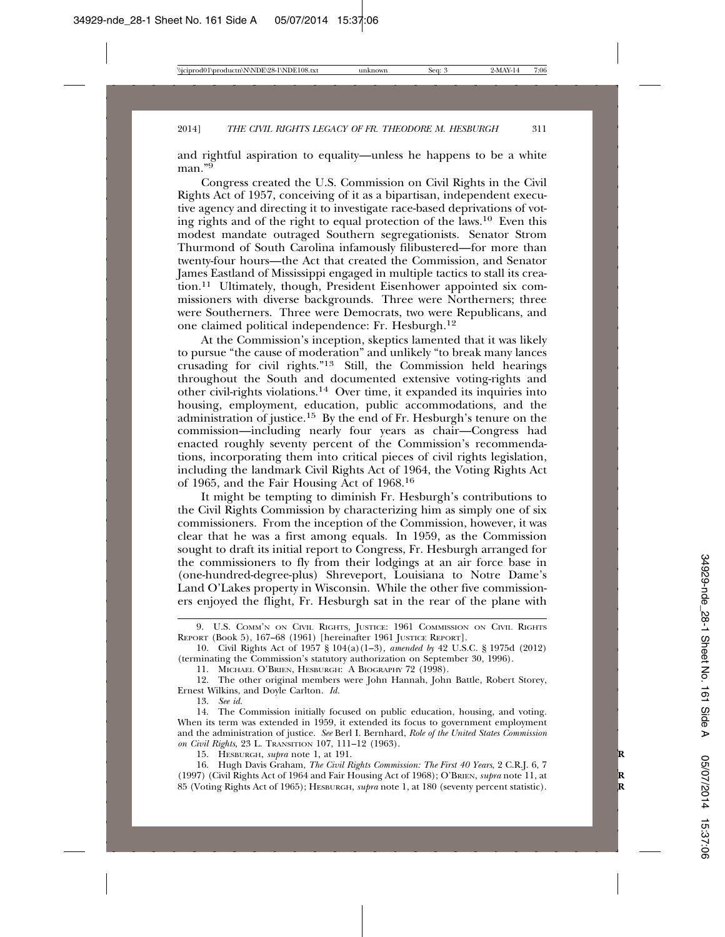and rightful aspiration to equality—unless he happens to be a white man."<sup>9</sup>

Congress created the U.S. Commission on Civil Rights in the Civil Rights Act of 1957, conceiving of it as a bipartisan, independent executive agency and directing it to investigate race-based deprivations of voting rights and of the right to equal protection of the laws.10 Even this modest mandate outraged Southern segregationists. Senator Strom Thurmond of South Carolina infamously filibustered—for more than twenty-four hours—the Act that created the Commission, and Senator James Eastland of Mississippi engaged in multiple tactics to stall its creation.11 Ultimately, though, President Eisenhower appointed six commissioners with diverse backgrounds. Three were Northerners; three were Southerners. Three were Democrats, two were Republicans, and one claimed political independence: Fr. Hesburgh.12

At the Commission's inception, skeptics lamented that it was likely to pursue "the cause of moderation" and unlikely "to break many lances crusading for civil rights."13 Still, the Commission held hearings throughout the South and documented extensive voting-rights and other civil-rights violations.14 Over time, it expanded its inquiries into housing, employment, education, public accommodations, and the administration of justice.15 By the end of Fr. Hesburgh's tenure on the commission—including nearly four years as chair—Congress had enacted roughly seventy percent of the Commission's recommendations, incorporating them into critical pieces of civil rights legislation, including the landmark Civil Rights Act of 1964, the Voting Rights Act of 1965, and the Fair Housing Act of 1968.16

It might be tempting to diminish Fr. Hesburgh's contributions to the Civil Rights Commission by characterizing him as simply one of six commissioners. From the inception of the Commission, however, it was clear that he was a first among equals. In 1959, as the Commission sought to draft its initial report to Congress, Fr. Hesburgh arranged for the commissioners to fly from their lodgings at an air force base in (one-hundred-degree-plus) Shreveport, Louisiana to Notre Dame's Land O'Lakes property in Wisconsin. While the other five commissioners enjoyed the flight, Fr. Hesburgh sat in the rear of the plane with

11. MICHAEL O'BRIEN, HESBURGH: A BIOGRAPHY 72 (1998).

13. *See id.*

15. HESBURGH, *supra* note 1, at 191. **R**

16. Hugh Davis Graham, *The Civil Rights Commission: The First 40 Years*, 2 C.R.J. 6, 7 (1997) (Civil Rights Act of 1964 and Fair Housing Act of 1968); O'BRIEN, *supra* note 11, at **R** 85 (Voting Rights Act of 1965); HESBURGH, *supra* note 1, at 180 (seventy percent statistic). **R**

<sup>9.</sup> U.S. COMM'N ON CIVIL RIGHTS, JUSTICE: 1961 COMMISSION ON CIVIL RIGHTS REPORT (Book 5), 167–68 (1961) [hereinafter 1961 JUSTICE REPORT].

<sup>10.</sup> Civil Rights Act of 1957 § 104(a)(1–3), *amended by* 42 U.S.C. § 1975d (2012) (terminating the Commission's statutory authorization on September 30, 1996).

<sup>12.</sup> The other original members were John Hannah, John Battle, Robert Storey, Ernest Wilkins, and Doyle Carlton. *Id.*

<sup>14.</sup> The Commission initially focused on public education, housing, and voting. When its term was extended in 1959, it extended its focus to government employment and the administration of justice. *See* Berl I. Bernhard, *Role of the United States Commission on Civil Rights*, 23 L. TRANSITION 107, 111–12 (1963).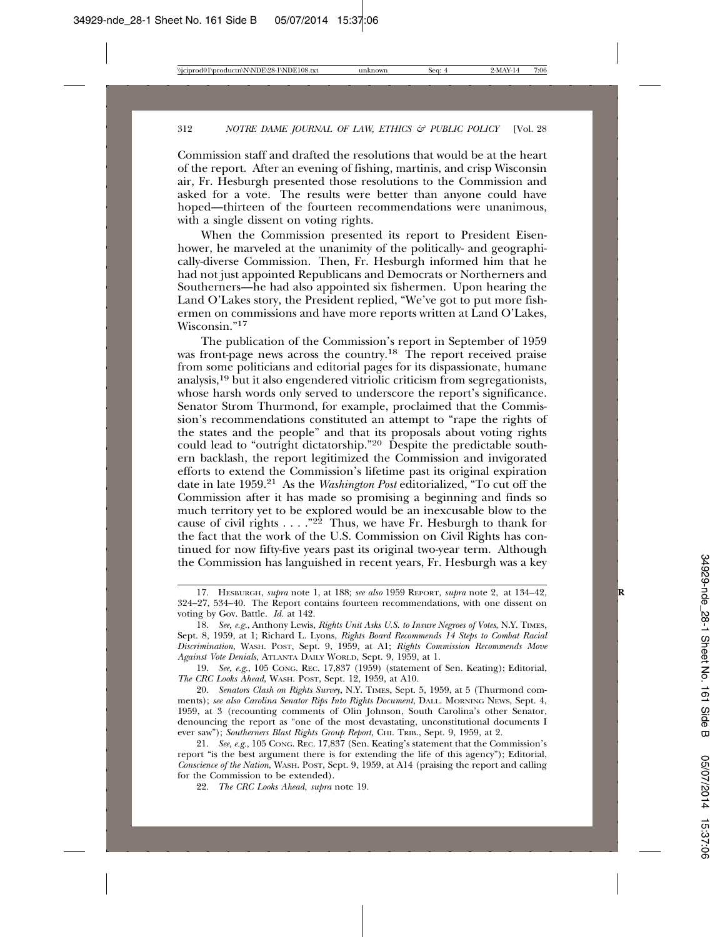Commission staff and drafted the resolutions that would be at the heart of the report. After an evening of fishing, martinis, and crisp Wisconsin air, Fr. Hesburgh presented those resolutions to the Commission and asked for a vote. The results were better than anyone could have hoped—thirteen of the fourteen recommendations were unanimous, with a single dissent on voting rights.

When the Commission presented its report to President Eisenhower, he marveled at the unanimity of the politically- and geographically-diverse Commission. Then, Fr. Hesburgh informed him that he had not just appointed Republicans and Democrats or Northerners and Southerners—he had also appointed six fishermen. Upon hearing the Land O'Lakes story, the President replied, "We've got to put more fishermen on commissions and have more reports written at Land O'Lakes, Wisconsin."<sup>17</sup>

The publication of the Commission's report in September of 1959 was front-page news across the country.<sup>18</sup> The report received praise from some politicians and editorial pages for its dispassionate, humane analysis,19 but it also engendered vitriolic criticism from segregationists, whose harsh words only served to underscore the report's significance. Senator Strom Thurmond, for example, proclaimed that the Commission's recommendations constituted an attempt to "rape the rights of the states and the people" and that its proposals about voting rights could lead to "outright dictatorship."20 Despite the predictable southern backlash, the report legitimized the Commission and invigorated efforts to extend the Commission's lifetime past its original expiration date in late 1959.21 As the *Washington Post* editorialized, "To cut off the Commission after it has made so promising a beginning and finds so much territory yet to be explored would be an inexcusable blow to the cause of civil rights . . . . "2<sup>2</sup> Thus, we have Fr. Hesburgh to thank for the fact that the work of the U.S. Commission on Civil Rights has continued for now fifty-five years past its original two-year term. Although the Commission has languished in recent years, Fr. Hesburgh was a key

19. *See, e.g.*, 105 CONG. REC. 17,837 (1959) (statement of Sen. Keating); Editorial, *The CRC Looks Ahead*, WASH. POST, Sept. 12, 1959, at A10.

20. *Senators Clash on Rights Survey*, N.Y. TIMES, Sept. 5, 1959, at 5 (Thurmond comments); *see also Carolina Senator Rips Into Rights Document*, DALL. MORNING NEWS, Sept. 4, 1959, at 3 (recounting comments of Olin Johnson, South Carolina's other Senator, denouncing the report as "one of the most devastating, unconstitutional documents I ever saw"); *Southerners Blast Rights Group Report*, CHI. TRIB., Sept. 9, 1959, at 2.

<sup>17.</sup> HESBURGH, *supra* note 1, at 188; *see also* 1959 REPORT, *supra* note 2, at 134–42, **R** 324–27, 534–40. The Report contains fourteen recommendations, with one dissent on voting by Gov. Battle. *Id.* at 142.

<sup>18.</sup> *See, e.g.*, Anthony Lewis, *Rights Unit Asks U.S. to Insure Negroes of Votes*, N.Y. TIMES, Sept. 8, 1959, at 1; Richard L. Lyons, *Rights Board Recommends 14 Steps to Combat Racial Discrimination*, WASH. POST, Sept. 9, 1959, at A1; *Rights Commission Recommends Move Against Vote Denials*, ATLANTA DAILY WORLD, Sept. 9, 1959, at 1.

<sup>21.</sup> *See*, *e.g.*, 105 CONG. REC. 17,837 (Sen. Keating's statement that the Commission's report "is the best argument there is for extending the life of this agency"); Editorial, *Conscience of the Nation*, WASH. POST, Sept. 9, 1959, at A14 (praising the report and calling for the Commission to be extended).

<sup>22.</sup> *The CRC Looks Ahead*, *supra* note 19.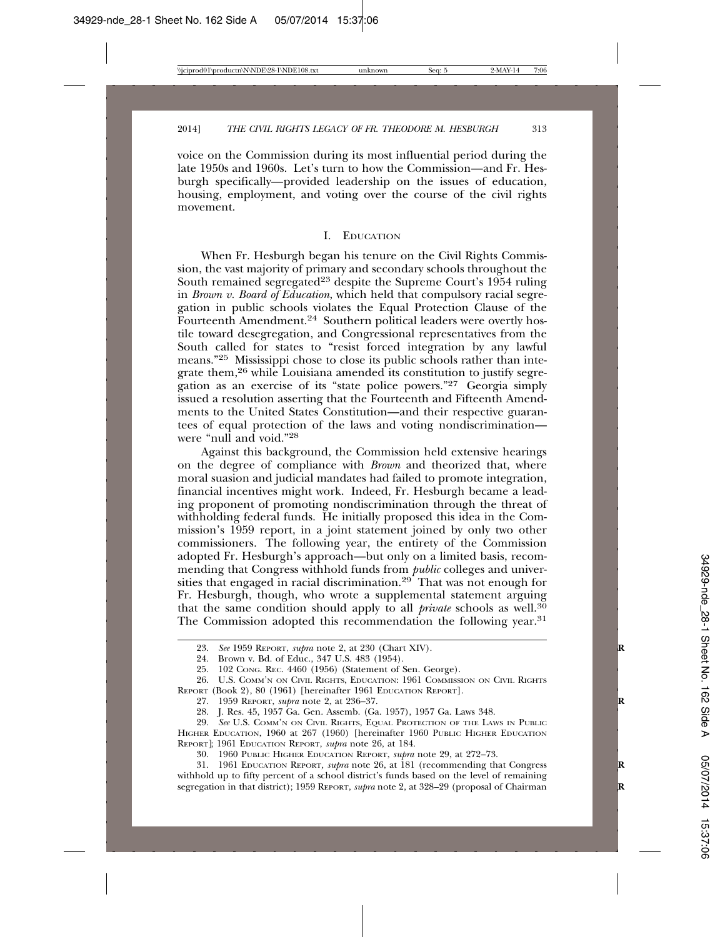voice on the Commission during its most influential period during the late 1950s and 1960s. Let's turn to how the Commission—and Fr. Hesburgh specifically—provided leadership on the issues of education, housing, employment, and voting over the course of the civil rights movement.

#### I. EDUCATION

When Fr. Hesburgh began his tenure on the Civil Rights Commission, the vast majority of primary and secondary schools throughout the South remained segregated<sup>23</sup> despite the Supreme Court's 1954 ruling in *Brown v. Board of Education*, which held that compulsory racial segregation in public schools violates the Equal Protection Clause of the Fourteenth Amendment.24 Southern political leaders were overtly hostile toward desegregation, and Congressional representatives from the South called for states to "resist forced integration by any lawful means."25 Mississippi chose to close its public schools rather than integrate them,<sup>26</sup> while Louisiana amended its constitution to justify segregation as an exercise of its "state police powers."<sup>27</sup> Georgia simply issued a resolution asserting that the Fourteenth and Fifteenth Amendments to the United States Constitution—and their respective guarantees of equal protection of the laws and voting nondiscrimination were "null and void."28

Against this background, the Commission held extensive hearings on the degree of compliance with *Brown* and theorized that, where moral suasion and judicial mandates had failed to promote integration, financial incentives might work. Indeed, Fr. Hesburgh became a leading proponent of promoting nondiscrimination through the threat of withholding federal funds. He initially proposed this idea in the Commission's 1959 report, in a joint statement joined by only two other commissioners. The following year, the entirety of the Commission adopted Fr. Hesburgh's approach—but only on a limited basis, recommending that Congress withhold funds from *public* colleges and universities that engaged in racial discrimination.<sup>29</sup> That was not enough for Fr. Hesburgh, though, who wrote a supplemental statement arguing that the same condition should apply to all *private* schools as well.30 The Commission adopted this recommendation the following year.<sup>31</sup>

<sup>23.</sup> *See* 1959 REPORT, *supra* note 2, at 230 (Chart XIV). **R**

<sup>24.</sup> Brown v. Bd. of Educ., 347 U.S. 483 (1954).

<sup>25. 102</sup> CONG. REC. 4460 (1956) (Statement of Sen. George).

<sup>26.</sup> U.S. COMM'N ON CIVIL RIGHTS, EDUCATION: 1961 COMMISSION ON CIVIL RIGHTS REPORT (Book 2), 80 (1961) [hereinafter 1961 EDUCATION REPORT].

<sup>27. 1959</sup> REPORT, *supra* note 2, at 236–37. **R**

<sup>28.</sup> J. Res. 45, 1957 Ga. Gen. Assemb. (Ga. 1957), 1957 Ga. Laws 348.

<sup>29.</sup> *See* U.S. COMM'N ON CIVIL RIGHTS, EQUAL PROTECTION OF THE LAWS IN PUBLIC HIGHER EDUCATION, 1960 at 267 (1960) [hereinafter 1960 PUBLIC HIGHER EDUCATION REPORT]; 1961 EDUCATION REPORT, *supra* note 26, at 184.

<sup>30. 1960</sup> PUBLIC HIGHER EDUCATION REPORT, *supra* note 29, at 272–73.

<sup>31. 1961</sup> EDUCATION REPORT*, supra* note 26, at 181 (recommending that Congress **R** withhold up to fifty percent of a school district's funds based on the level of remaining segregation in that district); 1959 REPORT, *supra* note 2, at 328–29 (proposal of Chairman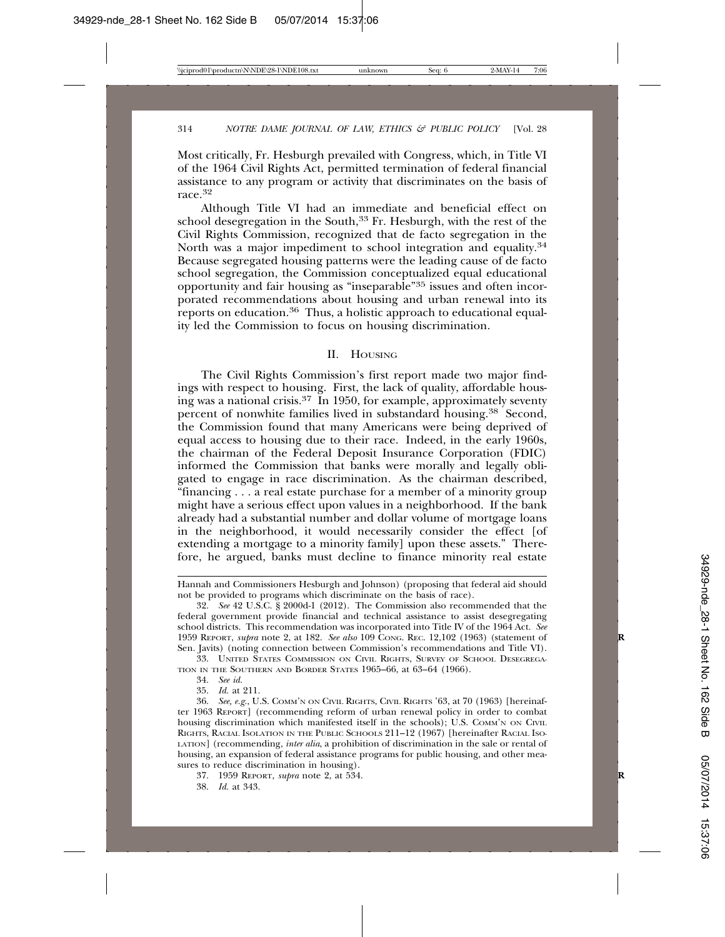Most critically, Fr. Hesburgh prevailed with Congress, which, in Title VI of the 1964 Civil Rights Act, permitted termination of federal financial assistance to any program or activity that discriminates on the basis of race.<sup>32</sup>

Although Title VI had an immediate and beneficial effect on school desegregation in the South,  $33$  Fr. Hesburgh, with the rest of the Civil Rights Commission, recognized that de facto segregation in the North was a major impediment to school integration and equality.34 Because segregated housing patterns were the leading cause of de facto school segregation, the Commission conceptualized equal educational opportunity and fair housing as "inseparable"35 issues and often incorporated recommendations about housing and urban renewal into its reports on education.36 Thus, a holistic approach to educational equality led the Commission to focus on housing discrimination.

#### II. HOUSING

The Civil Rights Commission's first report made two major findings with respect to housing. First, the lack of quality, affordable housing was a national crisis.<sup>37</sup> In 1950, for example, approximately seventy percent of nonwhite families lived in substandard housing.<sup>38</sup> Second, the Commission found that many Americans were being deprived of equal access to housing due to their race. Indeed, in the early 1960s, the chairman of the Federal Deposit Insurance Corporation (FDIC) informed the Commission that banks were morally and legally obligated to engage in race discrimination. As the chairman described, "financing . . . a real estate purchase for a member of a minority group might have a serious effect upon values in a neighborhood. If the bank already had a substantial number and dollar volume of mortgage loans in the neighborhood, it would necessarily consider the effect [of extending a mortgage to a minority family] upon these assets." Therefore, he argued, banks must decline to finance minority real estate

34. *See id.*

35. *Id.* at 211.

38. *Id.* at 343.

Hannah and Commissioners Hesburgh and Johnson) (proposing that federal aid should not be provided to programs which discriminate on the basis of race).

<sup>32.</sup> *See* 42 U.S.C. § 2000d-1 (2012). The Commission also recommended that the federal government provide financial and technical assistance to assist desegregating school districts. This recommendation was incorporated into Title IV of the 1964 Act. *See* 1959 REPORT, *supra* note 2, at 182. *See also* 109 CONG. REC. 12,102 (1963) (statement of **R** Sen. Javits) (noting connection between Commission's recommendations and Title VI).

<sup>33.</sup> UNITED STATES COMMISSION ON CIVIL RIGHTS, SURVEY OF SCHOOL DESEGREGA-TION IN THE SOUTHERN AND BORDER STATES 1965–66, at 63–64 (1966).

<sup>36.</sup> *See, e.g.*, U.S. COMM'N ON CIVIL RIGHTS, CIVIL RIGHTS '63, at 70 (1963) [hereinafter 1963 REPORT] (recommending reform of urban renewal policy in order to combat housing discrimination which manifested itself in the schools); U.S. COMM'N ON CIVIL RIGHTS, RACIAL ISOLATION IN THE PUBLIC SCHOOLS 211–12 (1967) [hereinafter RACIAL ISO-LATION] (recommending, *inter alia*, a prohibition of discrimination in the sale or rental of housing, an expansion of federal assistance programs for public housing, and other measures to reduce discrimination in housing).

<sup>37. 1959</sup> REPORT, *supra* note 2, at 534. **R**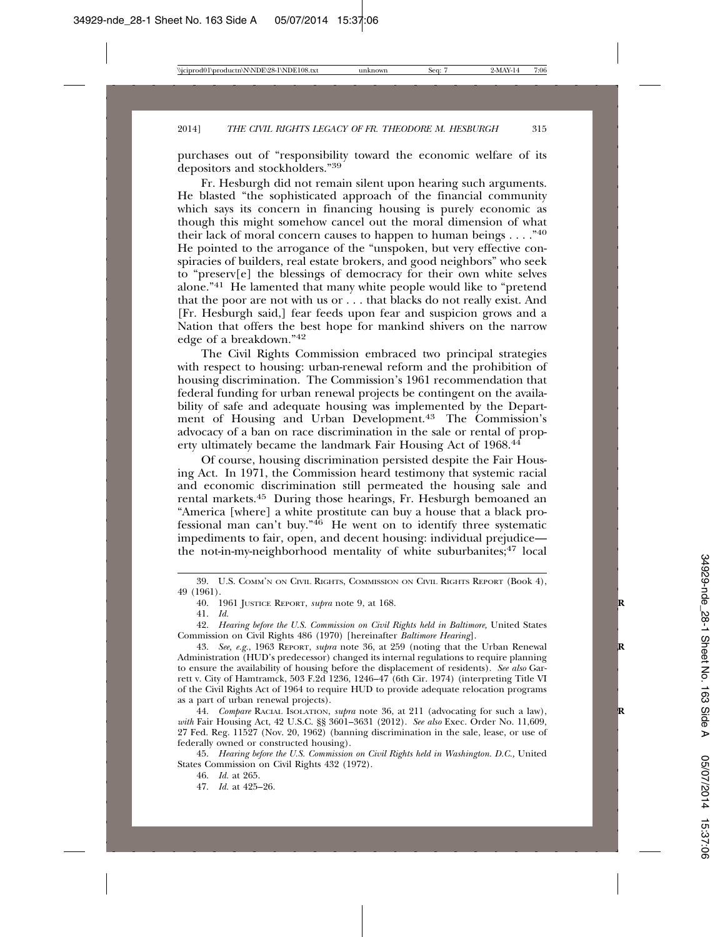purchases out of "responsibility toward the economic welfare of its depositors and stockholders."39

Fr. Hesburgh did not remain silent upon hearing such arguments. He blasted "the sophisticated approach of the financial community which says its concern in financing housing is purely economic as though this might somehow cancel out the moral dimension of what their lack of moral concern causes to happen to human beings  $\dots$ ."<sup>40</sup> He pointed to the arrogance of the "unspoken, but very effective conspiracies of builders, real estate brokers, and good neighbors" who seek to "preserv[e] the blessings of democracy for their own white selves alone."41 He lamented that many white people would like to "pretend that the poor are not with us or . . . that blacks do not really exist. And [Fr. Hesburgh said,] fear feeds upon fear and suspicion grows and a Nation that offers the best hope for mankind shivers on the narrow edge of a breakdown."42

The Civil Rights Commission embraced two principal strategies with respect to housing: urban-renewal reform and the prohibition of housing discrimination. The Commission's 1961 recommendation that federal funding for urban renewal projects be contingent on the availability of safe and adequate housing was implemented by the Department of Housing and Urban Development.<sup>43</sup> The Commission's advocacy of a ban on race discrimination in the sale or rental of property ultimately became the landmark Fair Housing Act of 1968.44

Of course, housing discrimination persisted despite the Fair Housing Act. In 1971, the Commission heard testimony that systemic racial and economic discrimination still permeated the housing sale and rental markets.45 During those hearings, Fr. Hesburgh bemoaned an "America [where] a white prostitute can buy a house that a black professional man can't buy."46 He went on to identify three systematic impediments to fair, open, and decent housing: individual prejudice the not-in-my-neighborhood mentality of white suburbanites;<sup>47</sup> local

43. *See, e.g.*, 1963 REPORT, *supra* note 36, at 259 (noting that the Urban Renewal **R** Administration (HUD's predecessor) changed its internal regulations to require planning to ensure the availability of housing before the displacement of residents). *See also* Garrett v. City of Hamtramck, 503 F.2d 1236, 1246–47 (6th Cir. 1974) (interpreting Title VI of the Civil Rights Act of 1964 to require HUD to provide adequate relocation programs as a part of urban renewal projects).

44. *Compare* RACIAL ISOLATION, *supra* note 36, at 211 (advocating for such a law), **R** *with* Fair Housing Act, 42 U.S.C. §§ 3601–3631 (2012). *See also* Exec. Order No. 11,609, 27 Fed. Reg. 11527 (Nov. 20, 1962) (banning discrimination in the sale, lease, or use of federally owned or constructed housing).

45. *Hearing before the U.S. Commission on Civil Rights held in Washington. D.C.,* United States Commission on Civil Rights 432 (1972).

46. *Id.* at 265.

47. *Id.* at 425–26.

<sup>39.</sup> U.S. COMM'N ON CIVIL RIGHTS, COMMISSION ON CIVIL RIGHTS REPORT (Book 4), 49 (1961).

<sup>40. 1961</sup> JUSTICE REPORT, *supra* note 9, at 168. **R**

<sup>41.</sup> *Id.*

<sup>42.</sup> *Hearing before the U.S. Commission on Civil Rights held in Baltimore,* United States Commission on Civil Rights 486 (1970) [hereinafter *Baltimore Hearing*].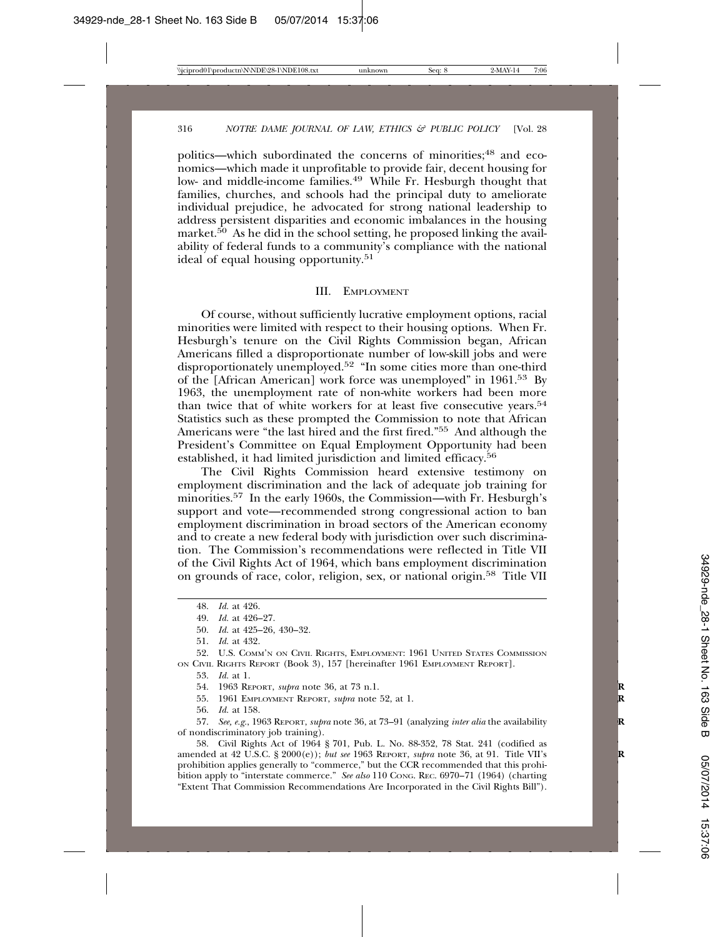politics—which subordinated the concerns of minorities;<sup>48</sup> and economics—which made it unprofitable to provide fair, decent housing for low- and middle-income families.<sup>49</sup> While Fr. Hesburgh thought that families, churches, and schools had the principal duty to ameliorate individual prejudice, he advocated for strong national leadership to address persistent disparities and economic imbalances in the housing market.<sup>50</sup> As he did in the school setting, he proposed linking the availability of federal funds to a community's compliance with the national ideal of equal housing opportunity.51

#### III. EMPLOYMENT

Of course, without sufficiently lucrative employment options, racial minorities were limited with respect to their housing options. When Fr. Hesburgh's tenure on the Civil Rights Commission began, African Americans filled a disproportionate number of low-skill jobs and were disproportionately unemployed.<sup>52</sup> "In some cities more than one-third of the [African American] work force was unemployed" in 1961.53 By 1963, the unemployment rate of non-white workers had been more than twice that of white workers for at least five consecutive years.<sup>54</sup> Statistics such as these prompted the Commission to note that African Americans were "the last hired and the first fired."55 And although the President's Committee on Equal Employment Opportunity had been established, it had limited jurisdiction and limited efficacy.<sup>56</sup>

The Civil Rights Commission heard extensive testimony on employment discrimination and the lack of adequate job training for minorities.<sup>57</sup> In the early 1960s, the Commission—with Fr. Hesburgh's support and vote—recommended strong congressional action to ban employment discrimination in broad sectors of the American economy and to create a new federal body with jurisdiction over such discrimination. The Commission's recommendations were reflected in Title VII of the Civil Rights Act of 1964, which bans employment discrimination on grounds of race, color, religion, sex, or national origin.58 Title VII

52. U.S. COMM'N ON CIVIL RIGHTS, EMPLOYMENT: 1961 UNITED STATES COMMISSION ON CIVIL RIGHTS REPORT (Book 3), 157 [hereinafter 1961 EMPLOYMENT REPORT].

53. *Id.* at 1.

54. 1963 REPORT, *supra* note 36, at 73 n.1. **R**

55. 1961 EMPLOYMENT REPORT, *supra* note 52, at 1. **R**

56. *Id.* at 158.

57. *See, e.g.*, 1963 REPORT, *supra* note 36, at 73–91 (analyzing *inter alia* the availability **R** of nondiscriminatory job training).

58. Civil Rights Act of 1964 § 701, Pub. L. No. 88-352, 78 Stat. 241 (codified as amended at 42 U.S.C. § 2000(e)); *but see* 1963 REPORT, *supra* note 36, at 91. Title VII's prohibition applies generally to "commerce," but the CCR recommended that this prohibition apply to "interstate commerce." *See also* 110 CONG. REC. 6970–71 (1964) (charting "Extent That Commission Recommendations Are Incorporated in the Civil Rights Bill").

<sup>48.</sup> *Id.* at 426.

<sup>49.</sup> *Id.* at 426–27.

<sup>50.</sup> *Id.* at 425–26, 430–32.

<sup>51.</sup> *Id.* at 432.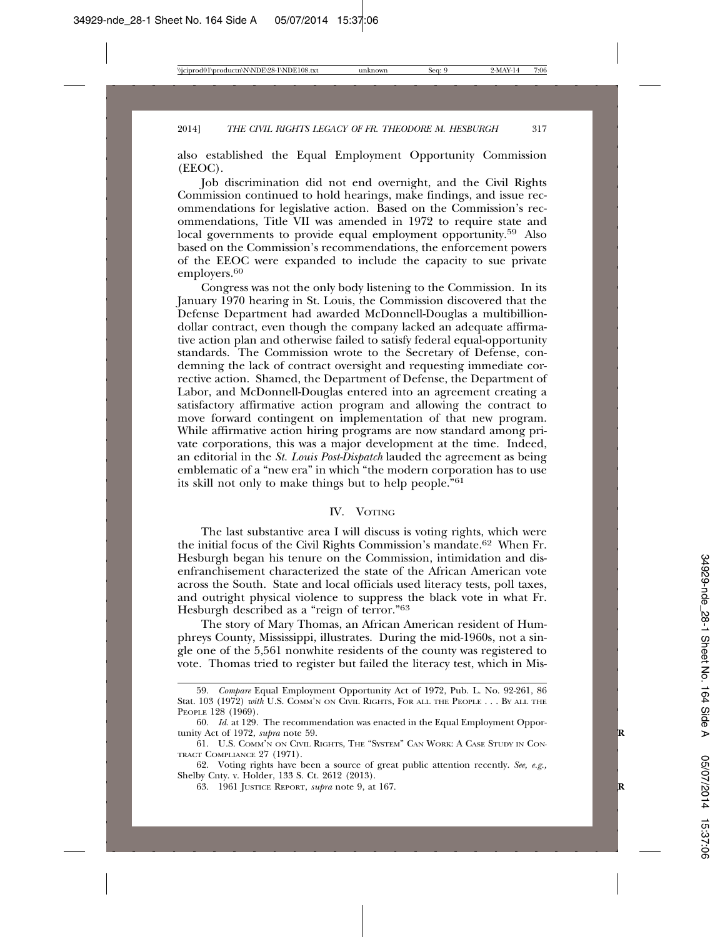also established the Equal Employment Opportunity Commission (EEOC).

Job discrimination did not end overnight, and the Civil Rights Commission continued to hold hearings, make findings, and issue recommendations for legislative action. Based on the Commission's recommendations, Title VII was amended in 1972 to require state and local governments to provide equal employment opportunity.<sup>59</sup> Also based on the Commission's recommendations, the enforcement powers of the EEOC were expanded to include the capacity to sue private employers.<sup>60</sup>

Congress was not the only body listening to the Commission. In its January 1970 hearing in St. Louis, the Commission discovered that the Defense Department had awarded McDonnell-Douglas a multibilliondollar contract, even though the company lacked an adequate affirmative action plan and otherwise failed to satisfy federal equal-opportunity standards. The Commission wrote to the Secretary of Defense, condemning the lack of contract oversight and requesting immediate corrective action. Shamed, the Department of Defense, the Department of Labor, and McDonnell-Douglas entered into an agreement creating a satisfactory affirmative action program and allowing the contract to move forward contingent on implementation of that new program. While affirmative action hiring programs are now standard among private corporations, this was a major development at the time. Indeed, an editorial in the *St. Louis Post-Dispatch* lauded the agreement as being emblematic of a "new era" in which "the modern corporation has to use its skill not only to make things but to help people."61

#### IV. VOTING

The last substantive area I will discuss is voting rights, which were the initial focus of the Civil Rights Commission's mandate.62 When Fr. Hesburgh began his tenure on the Commission, intimidation and disenfranchisement characterized the state of the African American vote across the South. State and local officials used literacy tests, poll taxes, and outright physical violence to suppress the black vote in what Fr. Hesburgh described as a "reign of terror."63

The story of Mary Thomas, an African American resident of Humphreys County, Mississippi, illustrates. During the mid-1960s, not a single one of the 5,561 nonwhite residents of the county was registered to vote. Thomas tried to register but failed the literacy test, which in Mis-

<sup>59.</sup> *Compare* Equal Employment Opportunity Act of 1972, Pub. L. No. 92-261, 86 Stat. 103 (1972) *with* U.S. COMM'N ON CIVIL RIGHTS, FOR ALL THE PEOPLE . . . BY ALL THE PEOPLE 128 (1969).

<sup>60.</sup> *Id.* at 129. The recommendation was enacted in the Equal Employment Opportunity Act of 1972, *supra* note 59. **R**

<sup>61.</sup> U.S. COMM'N ON CIVIL RIGHTS, THE "SYSTEM" CAN WORK: A CASE STUDY IN CON-TRACT COMPLIANCE 27 (1971).

<sup>62.</sup> Voting rights have been a source of great public attention recently. *See, e.g.,* Shelby Cnty. v. Holder, 133 S. Ct. 2612 (2013).

<sup>63. 1961</sup> JUSTICE REPORT, *supra* note 9, at 167. **R**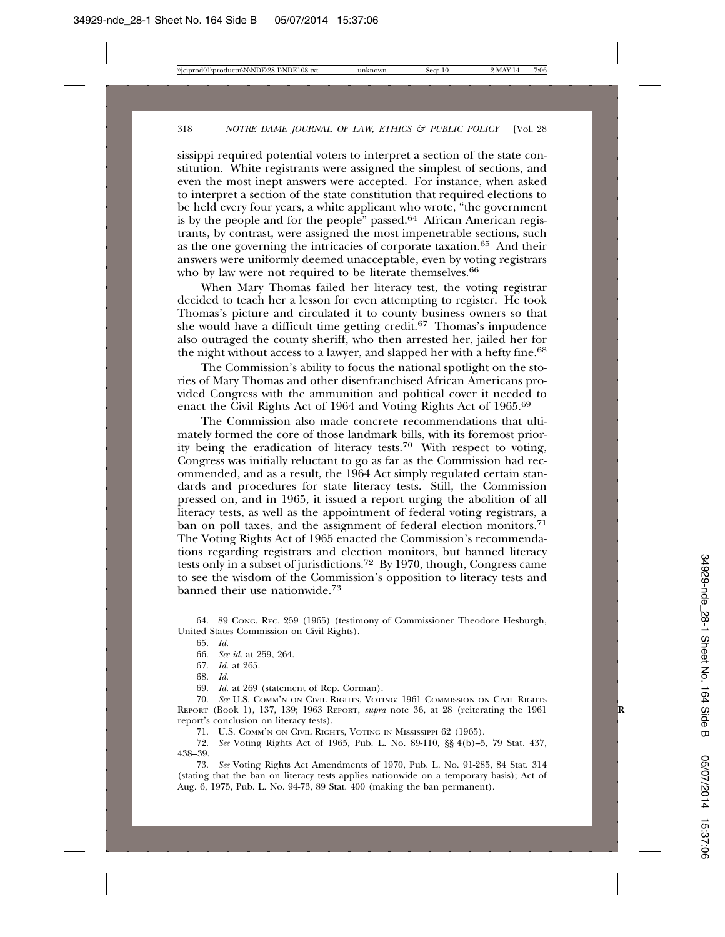sissippi required potential voters to interpret a section of the state constitution. White registrants were assigned the simplest of sections, and even the most inept answers were accepted. For instance, when asked to interpret a section of the state constitution that required elections to be held every four years, a white applicant who wrote, "the government is by the people and for the people" passed.<sup>64</sup> African American registrants, by contrast, were assigned the most impenetrable sections, such as the one governing the intricacies of corporate taxation.65 And their answers were uniformly deemed unacceptable, even by voting registrars who by law were not required to be literate themselves.<sup>66</sup>

When Mary Thomas failed her literacy test, the voting registrar decided to teach her a lesson for even attempting to register. He took Thomas's picture and circulated it to county business owners so that she would have a difficult time getting credit.<sup>67</sup> Thomas's impudence also outraged the county sheriff, who then arrested her, jailed her for the night without access to a lawyer, and slapped her with a hefty fine.<sup>68</sup>

The Commission's ability to focus the national spotlight on the stories of Mary Thomas and other disenfranchised African Americans provided Congress with the ammunition and political cover it needed to enact the Civil Rights Act of 1964 and Voting Rights Act of 1965.69

The Commission also made concrete recommendations that ultimately formed the core of those landmark bills, with its foremost priority being the eradication of literacy tests.70 With respect to voting, Congress was initially reluctant to go as far as the Commission had recommended, and as a result, the 1964 Act simply regulated certain standards and procedures for state literacy tests. Still, the Commission pressed on, and in 1965, it issued a report urging the abolition of all literacy tests, as well as the appointment of federal voting registrars, a ban on poll taxes, and the assignment of federal election monitors.<sup>71</sup> The Voting Rights Act of 1965 enacted the Commission's recommendations regarding registrars and election monitors, but banned literacy tests only in a subset of jurisdictions.72 By 1970, though, Congress came to see the wisdom of the Commission's opposition to literacy tests and banned their use nationwide.73

64. 89 CONG. REC. 259 (1965) (testimony of Commissioner Theodore Hesburgh, United States Commission on Civil Rights).

69. *Id.* at 269 (statement of Rep. Corman).

70. *See* U.S. COMM'N ON CIVIL RIGHTS, VOTING: 1961 COMMISSION ON CIVIL RIGHTS REPORT (Book 1), 137, 139; 1963 REPORT, *supra* note 36, at 28 (reiterating the 1961 **R** report's conclusion on literacy tests).

71. U.S. COMM'N ON CIVIL RIGHTS, VOTING IN MISSISSIPPI 62 (1965).

72. *See* Voting Rights Act of 1965, Pub. L. No. 89-110, §§ 4(b)–5, 79 Stat. 437, 438–39.

73. *See* Voting Rights Act Amendments of 1970, Pub. L. No. 91-285, 84 Stat. 314 (stating that the ban on literacy tests applies nationwide on a temporary basis); Act of Aug. 6, 1975, Pub. L. No. 94-73, 89 Stat. 400 (making the ban permanent).

<sup>65.</sup> *Id.*

<sup>66.</sup> *See id.* at 259, 264.

<sup>67.</sup> *Id.* at 265.

<sup>68.</sup> *Id.*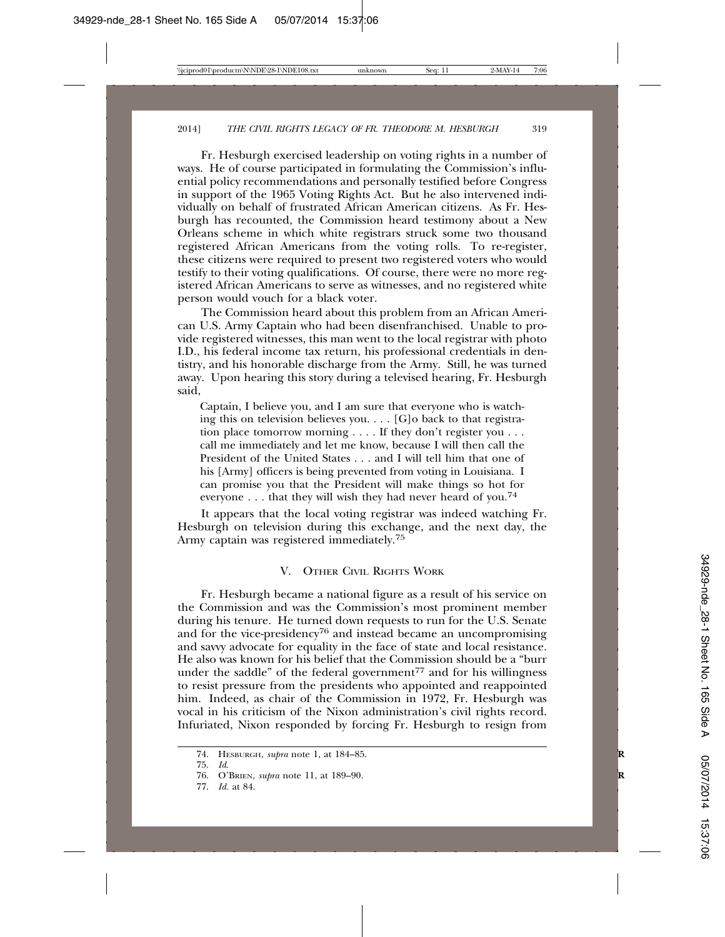Fr. Hesburgh exercised leadership on voting rights in a number of ways. He of course participated in formulating the Commission's influential policy recommendations and personally testified before Congress in support of the 1965 Voting Rights Act. But he also intervened individually on behalf of frustrated African American citizens. As Fr. Hesburgh has recounted, the Commission heard testimony about a New Orleans scheme in which white registrars struck some two thousand registered African Americans from the voting rolls. To re-register, these citizens were required to present two registered voters who would testify to their voting qualifications. Of course, there were no more registered African Americans to serve as witnesses, and no registered white person would vouch for a black voter.

The Commission heard about this problem from an African American U.S. Army Captain who had been disenfranchised. Unable to provide registered witnesses, this man went to the local registrar with photo I.D., his federal income tax return, his professional credentials in dentistry, and his honorable discharge from the Army. Still, he was turned away. Upon hearing this story during a televised hearing, Fr. Hesburgh said,

Captain, I believe you, and I am sure that everyone who is watching this on television believes you.  $\ldots$  [G]o back to that registration place tomorrow morning . . . . If they don't register you . . . call me immediately and let me know, because I will then call the President of the United States . . . and I will tell him that one of his [Army] officers is being prevented from voting in Louisiana. I can promise you that the President will make things so hot for everyone ... that they will wish they had never heard of you.<sup>74</sup>

It appears that the local voting registrar was indeed watching Fr. Hesburgh on television during this exchange, and the next day, the Army captain was registered immediately.75

#### V. OTHER CIVIL RIGHTS WORK

Fr. Hesburgh became a national figure as a result of his service on the Commission and was the Commission's most prominent member during his tenure. He turned down requests to run for the U.S. Senate and for the vice-presidency76 and instead became an uncompromising and savvy advocate for equality in the face of state and local resistance. He also was known for his belief that the Commission should be a "burr under the saddle" of the federal government $^{77}$  and for his willingness to resist pressure from the presidents who appointed and reappointed him. Indeed, as chair of the Commission in 1972, Fr. Hesburgh was vocal in his criticism of the Nixon administration's civil rights record. Infuriated, Nixon responded by forcing Fr. Hesburgh to resign from

<sup>74.</sup> HESBURGH, *supra* note 1, at 184–85. **R**

<sup>75.</sup> *Id*.

<sup>76.</sup> O'BRIEN, *supra* note 11, at 189–90. **R**

<sup>77.</sup> *Id.* at 84.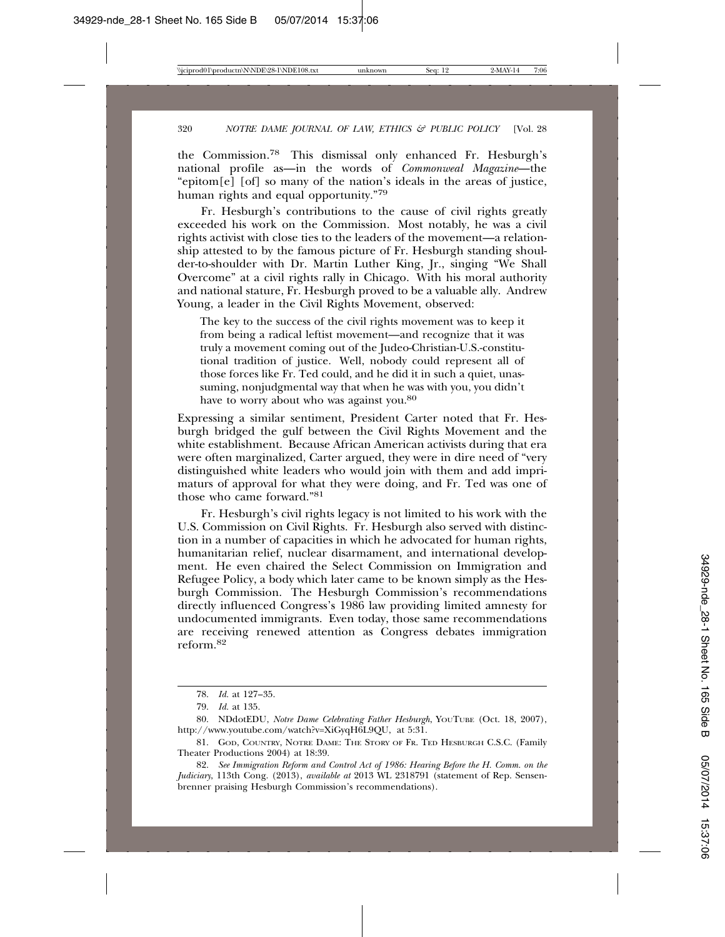the Commission.78 This dismissal only enhanced Fr. Hesburgh's national profile as—in the words of *Commonweal Magazine*—the "epitom[e] [of] so many of the nation's ideals in the areas of justice, human rights and equal opportunity."79

Fr. Hesburgh's contributions to the cause of civil rights greatly exceeded his work on the Commission. Most notably, he was a civil rights activist with close ties to the leaders of the movement—a relationship attested to by the famous picture of Fr. Hesburgh standing shoulder-to-shoulder with Dr. Martin Luther King, Jr., singing "We Shall Overcome" at a civil rights rally in Chicago. With his moral authority and national stature, Fr. Hesburgh proved to be a valuable ally. Andrew Young, a leader in the Civil Rights Movement, observed:

The key to the success of the civil rights movement was to keep it from being a radical leftist movement—and recognize that it was truly a movement coming out of the Judeo-Christian-U.S.-constitutional tradition of justice. Well, nobody could represent all of those forces like Fr. Ted could, and he did it in such a quiet, unassuming, nonjudgmental way that when he was with you, you didn't have to worry about who was against you.<sup>80</sup>

Expressing a similar sentiment, President Carter noted that Fr. Hesburgh bridged the gulf between the Civil Rights Movement and the white establishment. Because African American activists during that era were often marginalized, Carter argued, they were in dire need of "very distinguished white leaders who would join with them and add imprimaturs of approval for what they were doing, and Fr. Ted was one of those who came forward."81

Fr. Hesburgh's civil rights legacy is not limited to his work with the U.S. Commission on Civil Rights. Fr. Hesburgh also served with distinction in a number of capacities in which he advocated for human rights, humanitarian relief, nuclear disarmament, and international development. He even chaired the Select Commission on Immigration and Refugee Policy, a body which later came to be known simply as the Hesburgh Commission. The Hesburgh Commission's recommendations directly influenced Congress's 1986 law providing limited amnesty for undocumented immigrants. Even today, those same recommendations are receiving renewed attention as Congress debates immigration reform.<sup>82</sup>

<sup>78.</sup> *Id.* at 127–35.

<sup>79.</sup> *Id.* at 135.

<sup>80.</sup> NDdotEDU, *Notre Dame Celebrating Father Hesburgh*, YOUTUBE (Oct. 18, 2007), http://www.youtube.com/watch?v=XiGyqH6L9QU, at 5:31.

<sup>81.</sup> GOD, COUNTRY, NOTRE DAME: THE STORY OF FR. TED HESBURGH C.S.C. (Family Theater Productions 2004) at 18:39.

<sup>82.</sup> *See Immigration Reform and Control Act of 1986: Hearing Before the H. Comm. on the Judiciary*, 113th Cong. (2013), *available at* 2013 WL 2318791 (statement of Rep. Sensenbrenner praising Hesburgh Commission's recommendations).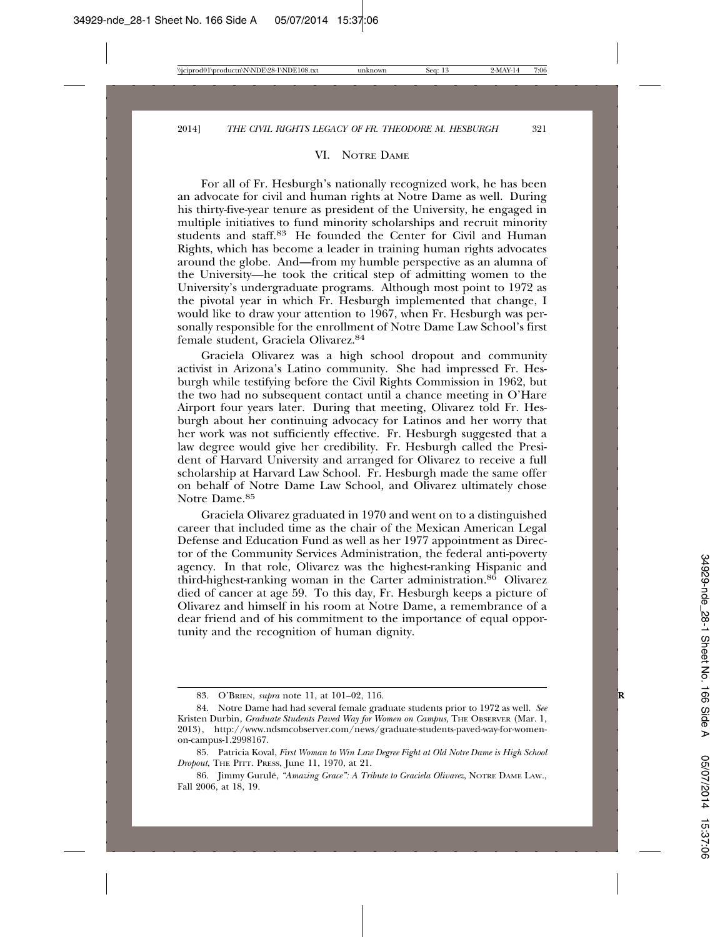#### VI. NOTRE DAME

For all of Fr. Hesburgh's nationally recognized work, he has been an advocate for civil and human rights at Notre Dame as well. During his thirty-five-year tenure as president of the University, he engaged in multiple initiatives to fund minority scholarships and recruit minority students and staff.<sup>83</sup> He founded the Center for Civil and Human Rights, which has become a leader in training human rights advocates around the globe. And—from my humble perspective as an alumna of the University—he took the critical step of admitting women to the University's undergraduate programs. Although most point to 1972 as the pivotal year in which Fr. Hesburgh implemented that change, I would like to draw your attention to 1967, when Fr. Hesburgh was personally responsible for the enrollment of Notre Dame Law School's first female student, Graciela Olivarez.84

Graciela Olivarez was a high school dropout and community activist in Arizona's Latino community. She had impressed Fr. Hesburgh while testifying before the Civil Rights Commission in 1962, but the two had no subsequent contact until a chance meeting in O'Hare Airport four years later. During that meeting, Olivarez told Fr. Hesburgh about her continuing advocacy for Latinos and her worry that her work was not sufficiently effective. Fr. Hesburgh suggested that a law degree would give her credibility. Fr. Hesburgh called the President of Harvard University and arranged for Olivarez to receive a full scholarship at Harvard Law School. Fr. Hesburgh made the same offer on behalf of Notre Dame Law School, and Olivarez ultimately chose Notre Dame.85

Graciela Olivarez graduated in 1970 and went on to a distinguished career that included time as the chair of the Mexican American Legal Defense and Education Fund as well as her 1977 appointment as Director of the Community Services Administration, the federal anti-poverty agency. In that role, Olivarez was the highest-ranking Hispanic and third-highest-ranking woman in the Carter administration.86 Olivarez died of cancer at age 59. To this day, Fr. Hesburgh keeps a picture of Olivarez and himself in his room at Notre Dame, a remembrance of a dear friend and of his commitment to the importance of equal opportunity and the recognition of human dignity.

<sup>83.</sup> O'BRIEN, *supra* note 11, at 101–02, 116. **R**

<sup>84.</sup> Notre Dame had had several female graduate students prior to 1972 as well. *See* Kristen Durbin, *Graduate Students Paved Way for Women on Campus*, THE OBSERVER (Mar. 1, 2013), http://www.ndsmcobserver.com/news/graduate-students-paved-way-for-womenon-campus-1.2998167.

<sup>85.</sup> Patricia Koval, *First Woman to Win Law Degree Fight at Old Notre Dame is High School Dropout*, THE PITT. PRESS, June 11, 1970, at 21.

<sup>86.</sup> Jimmy Gurule,´ *"Amazing Grace": A Tribute to Graciela Olivarez*, NOTRE DAME LAW., Fall 2006, at 18, 19.